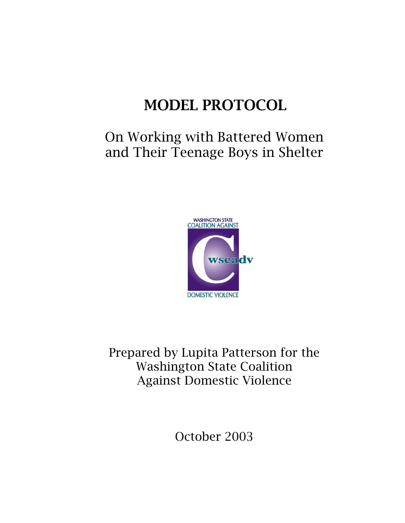# MODEL PROTOCOL

## On Working with Battered Women and Their Teenage Boys in Shelter



Prepared by Lupita Patterson for the Washington State Coalition Against Domestic Violence

October 2003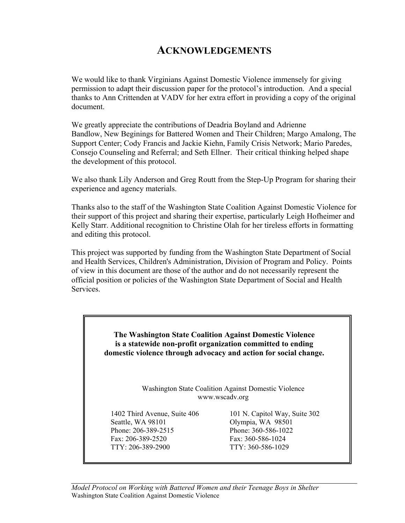### **ACKNOWLEDGEMENTS**

We would like to thank Virginians Against Domestic Violence immensely for giving permission to adapt their discussion paper for the protocol's introduction. And a special thanks to Ann Crittenden at VADV for her extra effort in providing a copy of the original document.

We greatly appreciate the contributions of Deadria Boyland and Adrienne Bandlow, New Beginings for Battered Women and Their Children; Margo Amalong, The Support Center; Cody Francis and Jackie Kiehn, Family Crisis Network; Mario Paredes, Consejo Counseling and Referral; and Seth Ellner. Their critical thinking helped shape the development of this protocol.

We also thank Lily Anderson and Greg Routt from the Step-Up Program for sharing their experience and agency materials.

Thanks also to the staff of the Washington State Coalition Against Domestic Violence for their support of this project and sharing their expertise, particularly Leigh Hofheimer and Kelly Starr. Additional recognition to Christine Olah for her tireless efforts in formatting and editing this protocol.

This project was supported by funding from the Washington State Department of Social and Health Services, Children's Administration, Division of Program and Policy. Points of view in this document are those of the author and do not necessarily represent the official position or policies of the Washington State Department of Social and Health Services.

> **The Washington State Coalition Against Domestic Violence is a statewide non-profit organization committed to ending domestic violence through advocacy and action for social change.**

> > Washington State Coalition Against Domestic Violence www.wscadv.org

Phone: 206-389-2515 Phone: 360-586-1022 Fax: 206-389-2520 Fax: 360-586-1024 TTY: 206-389-2900 TTY: 360-586-1029

1402 Third Avenue, Suite 406 101 N. Capitol Way, Suite 302<br>Seattle. WA 98101 0lympia, WA 98501 Olympia, WA 98501

*Model Protocol on Working with Battered Women and their Teenage Boys in Shelter* Washington State Coalition Against Domestic Violence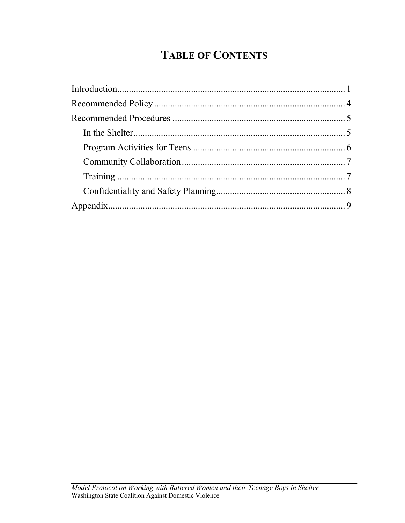## **TABLE OF CONTENTS**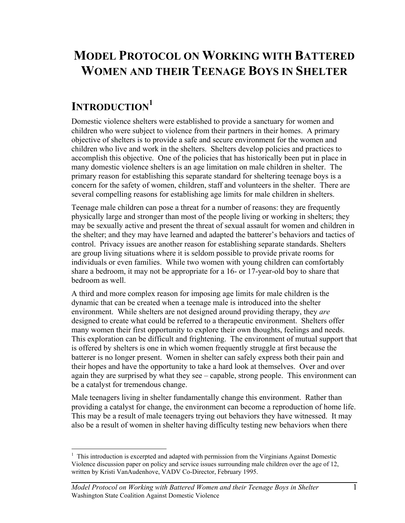## **MODEL PROTOCOL ON WORKING WITH BATTERED WOMEN AND THEIR TEENAGE BOYS IN SHELTER**

## **INTRODUCTION1**

Domestic violence shelters were established to provide a sanctuary for women and children who were subject to violence from their partners in their homes. A primary objective of shelters is to provide a safe and secure environment for the women and children who live and work in the shelters. Shelters develop policies and practices to accomplish this objective. One of the policies that has historically been put in place in many domestic violence shelters is an age limitation on male children in shelter. The primary reason for establishing this separate standard for sheltering teenage boys is a concern for the safety of women, children, staff and volunteers in the shelter. There are several compelling reasons for establishing age limits for male children in shelters.

Teenage male children can pose a threat for a number of reasons: they are frequently physically large and stronger than most of the people living or working in shelters; they may be sexually active and present the threat of sexual assault for women and children in the shelter; and they may have learned and adapted the batterer's behaviors and tactics of control. Privacy issues are another reason for establishing separate standards. Shelters are group living situations where it is seldom possible to provide private rooms for individuals or even families. While two women with young children can comfortably share a bedroom, it may not be appropriate for a 16- or 17-year-old boy to share that bedroom as well.

A third and more complex reason for imposing age limits for male children is the dynamic that can be created when a teenage male is introduced into the shelter environment. While shelters are not designed around providing therapy, they *are* designed to create what could be referred to a therapeutic environment. Shelters offer many women their first opportunity to explore their own thoughts, feelings and needs. This exploration can be difficult and frightening. The environment of mutual support that is offered by shelters is one in which women frequently struggle at first because the batterer is no longer present. Women in shelter can safely express both their pain and their hopes and have the opportunity to take a hard look at themselves. Over and over again they are surprised by what they see – capable, strong people. This environment can be a catalyst for tremendous change.

Male teenagers living in shelter fundamentally change this environment. Rather than providing a catalyst for change, the environment can become a reproduction of home life. This may be a result of male teenagers trying out behaviors they have witnessed. It may also be a result of women in shelter having difficulty testing new behaviors when there

 $\overline{a}$ <sup>1</sup> This introduction is excerpted and adapted with permission from the Virginians Against Domestic Violence discussion paper on policy and service issues surrounding male children over the age of 12, written by Kristi VanAudenhove, VADV Co-Director, February 1995.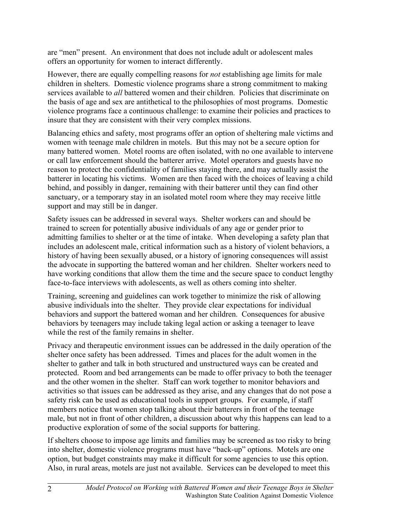are "men" present. An environment that does not include adult or adolescent males offers an opportunity for women to interact differently.

However, there are equally compelling reasons for *not* establishing age limits for male children in shelters. Domestic violence programs share a strong commitment to making services available to *all* battered women and their children. Policies that discriminate on the basis of age and sex are antithetical to the philosophies of most programs. Domestic violence programs face a continuous challenge: to examine their policies and practices to insure that they are consistent with their very complex missions.

Balancing ethics and safety, most programs offer an option of sheltering male victims and women with teenage male children in motels. But this may not be a secure option for many battered women. Motel rooms are often isolated, with no one available to intervene or call law enforcement should the batterer arrive. Motel operators and guests have no reason to protect the confidentiality of families staying there, and may actually assist the batterer in locating his victims. Women are then faced with the choices of leaving a child behind, and possibly in danger, remaining with their batterer until they can find other sanctuary, or a temporary stay in an isolated motel room where they may receive little support and may still be in danger.

Safety issues can be addressed in several ways. Shelter workers can and should be trained to screen for potentially abusive individuals of any age or gender prior to admitting families to shelter or at the time of intake. When developing a safety plan that includes an adolescent male, critical information such as a history of violent behaviors, a history of having been sexually abused, or a history of ignoring consequences will assist the advocate in supporting the battered woman and her children. Shelter workers need to have working conditions that allow them the time and the secure space to conduct lengthy face-to-face interviews with adolescents, as well as others coming into shelter.

Training, screening and guidelines can work together to minimize the risk of allowing abusive individuals into the shelter. They provide clear expectations for individual behaviors and support the battered woman and her children. Consequences for abusive behaviors by teenagers may include taking legal action or asking a teenager to leave while the rest of the family remains in shelter.

Privacy and therapeutic environment issues can be addressed in the daily operation of the shelter once safety has been addressed. Times and places for the adult women in the shelter to gather and talk in both structured and unstructured ways can be created and protected. Room and bed arrangements can be made to offer privacy to both the teenager and the other women in the shelter. Staff can work together to monitor behaviors and activities so that issues can be addressed as they arise, and any changes that do not pose a safety risk can be used as educational tools in support groups. For example, if staff members notice that women stop talking about their batterers in front of the teenage male, but not in front of other children, a discussion about why this happens can lead to a productive exploration of some of the social supports for battering.

If shelters choose to impose age limits and families may be screened as too risky to bring into shelter, domestic violence programs must have "back-up" options. Motels are one option, but budget constraints may make it difficult for some agencies to use this option. Also, in rural areas, motels are just not available. Services can be developed to meet this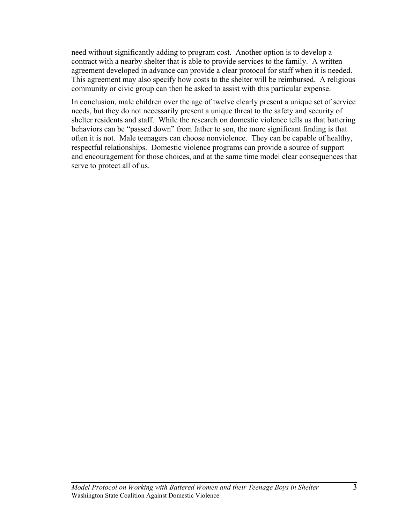need without significantly adding to program cost. Another option is to develop a contract with a nearby shelter that is able to provide services to the family. A written agreement developed in advance can provide a clear protocol for staff when it is needed. This agreement may also specify how costs to the shelter will be reimbursed. A religious community or civic group can then be asked to assist with this particular expense.

In conclusion, male children over the age of twelve clearly present a unique set of service needs, but they do not necessarily present a unique threat to the safety and security of shelter residents and staff. While the research on domestic violence tells us that battering behaviors can be "passed down" from father to son, the more significant finding is that often it is not. Male teenagers can choose nonviolence. They can be capable of healthy, respectful relationships. Domestic violence programs can provide a source of support and encouragement for those choices, and at the same time model clear consequences that serve to protect all of us.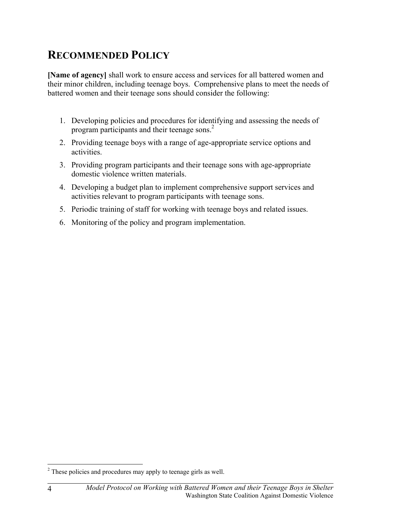### **RECOMMENDED POLICY**

**[Name of agency]** shall work to ensure access and services for all battered women and their minor children, including teenage boys. Comprehensive plans to meet the needs of battered women and their teenage sons should consider the following:

- 1. Developing policies and procedures for identifying and assessing the needs of program participants and their teenage sons.2
- 2. Providing teenage boys with a range of age-appropriate service options and activities.
- 3. Providing program participants and their teenage sons with age-appropriate domestic violence written materials.
- 4. Developing a budget plan to implement comprehensive support services and activities relevant to program participants with teenage sons.
- 5. Periodic training of staff for working with teenage boys and related issues.
- 6. Monitoring of the policy and program implementation.

<u>.</u>

 $2^2$  These policies and procedures may apply to teenage girls as well.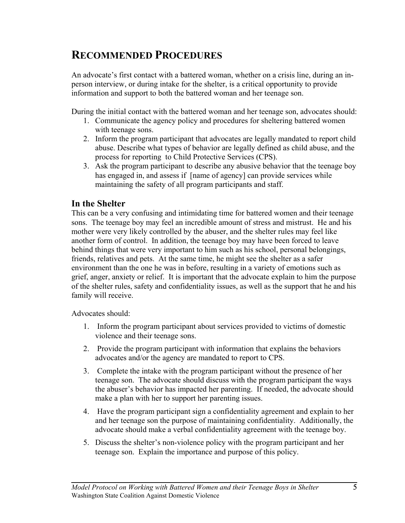### **RECOMMENDED PROCEDURES**

An advocate's first contact with a battered woman, whether on a crisis line, during an inperson interview, or during intake for the shelter, is a critical opportunity to provide information and support to both the battered woman and her teenage son.

During the initial contact with the battered woman and her teenage son, advocates should:

- 1. Communicate the agency policy and procedures for sheltering battered women with teenage sons.
- 2. Inform the program participant that advocates are legally mandated to report child abuse. Describe what types of behavior are legally defined as child abuse, and the process for reporting to Child Protective Services (CPS).
- 3. Ask the program participant to describe any abusive behavior that the teenage boy has engaged in, and assess if [name of agency] can provide services while maintaining the safety of all program participants and staff.

#### **In the Shelter**

This can be a very confusing and intimidating time for battered women and their teenage sons. The teenage boy may feel an incredible amount of stress and mistrust. He and his mother were very likely controlled by the abuser, and the shelter rules may feel like another form of control. In addition, the teenage boy may have been forced to leave behind things that were very important to him such as his school, personal belongings, friends, relatives and pets. At the same time, he might see the shelter as a safer environment than the one he was in before, resulting in a variety of emotions such as grief, anger, anxiety or relief. It is important that the advocate explain to him the purpose of the shelter rules, safety and confidentiality issues, as well as the support that he and his family will receive.

Advocates should:

- 1. Inform the program participant about services provided to victims of domestic violence and their teenage sons.
- 2. Provide the program participant with information that explains the behaviors advocates and/or the agency are mandated to report to CPS.
- 3. Complete the intake with the program participant without the presence of her teenage son. The advocate should discuss with the program participant the ways the abuser's behavior has impacted her parenting. If needed, the advocate should make a plan with her to support her parenting issues.
- 4. Have the program participant sign a confidentiality agreement and explain to her and her teenage son the purpose of maintaining confidentiality. Additionally, the advocate should make a verbal confidentiality agreement with the teenage boy.
- 5. Discuss the shelter's non-violence policy with the program participant and her teenage son. Explain the importance and purpose of this policy.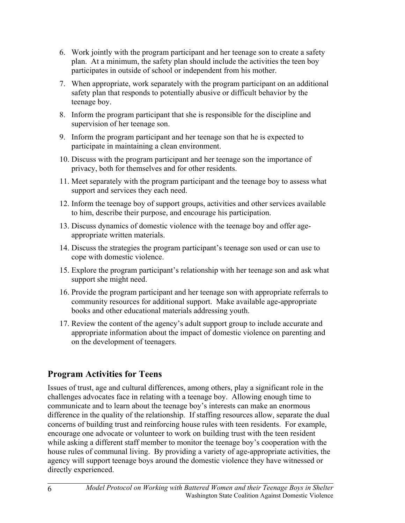- 6. Work jointly with the program participant and her teenage son to create a safety plan. At a minimum, the safety plan should include the activities the teen boy participates in outside of school or independent from his mother.
- 7. When appropriate, work separately with the program participant on an additional safety plan that responds to potentially abusive or difficult behavior by the teenage boy.
- 8. Inform the program participant that she is responsible for the discipline and supervision of her teenage son.
- 9. Inform the program participant and her teenage son that he is expected to participate in maintaining a clean environment.
- 10. Discuss with the program participant and her teenage son the importance of privacy, both for themselves and for other residents.
- 11. Meet separately with the program participant and the teenage boy to assess what support and services they each need.
- 12. Inform the teenage boy of support groups, activities and other services available to him, describe their purpose, and encourage his participation.
- 13. Discuss dynamics of domestic violence with the teenage boy and offer ageappropriate written materials.
- 14. Discuss the strategies the program participant's teenage son used or can use to cope with domestic violence.
- 15. Explore the program participant's relationship with her teenage son and ask what support she might need.
- 16. Provide the program participant and her teenage son with appropriate referrals to community resources for additional support. Make available age-appropriate books and other educational materials addressing youth.
- 17. Review the content of the agency's adult support group to include accurate and appropriate information about the impact of domestic violence on parenting and on the development of teenagers.

### **Program Activities for Teens**

Issues of trust, age and cultural differences, among others, play a significant role in the challenges advocates face in relating with a teenage boy. Allowing enough time to communicate and to learn about the teenage boy's interests can make an enormous difference in the quality of the relationship. If staffing resources allow, separate the dual concerns of building trust and reinforcing house rules with teen residents. For example, encourage one advocate or volunteer to work on building trust with the teen resident while asking a different staff member to monitor the teenage boy's cooperation with the house rules of communal living. By providing a variety of age-appropriate activities, the agency will support teenage boys around the domestic violence they have witnessed or directly experienced.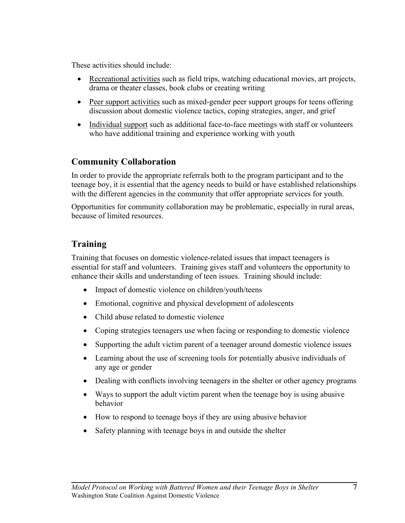These activities should include:

- Recreational activities such as field trips, watching educational movies, art projects, drama or theater classes, book clubs or creating writing
- Peer support activities such as mixed-gender peer support groups for teens offering discussion about domestic violence tactics, coping strategies, anger, and grief
- Individual support such as additional face-to-face meetings with staff or volunteers who have additional training and experience working with youth

#### **Community Collaboration**

In order to provide the appropriate referrals both to the program participant and to the teenage boy, it is essential that the agency needs to build or have established relationships with the different agencies in the community that offer appropriate services for youth.

Opportunities for community collaboration may be problematic, especially in rural areas, because of limited resources.

#### **Training**

Training that focuses on domestic violence-related issues that impact teenagers is essential for staff and volunteers. Training gives staff and volunteers the opportunity to enhance their skills and understanding of teen issues. Training should include:

- Impact of domestic violence on children/youth/teens
- Emotional, cognitive and physical development of adolescents
- Child abuse related to domestic violence
- Coping strategies teenagers use when facing or responding to domestic violence
- Supporting the adult victim parent of a teenager around domestic violence issues
- Learning about the use of screening tools for potentially abusive individuals of any age or gender
- Dealing with conflicts involving teenagers in the shelter or other agency programs
- Ways to support the adult victim parent when the teenage boy is using abusive behavior
- How to respond to teenage boys if they are using abusive behavior
- Safety planning with teenage boys in and outside the shelter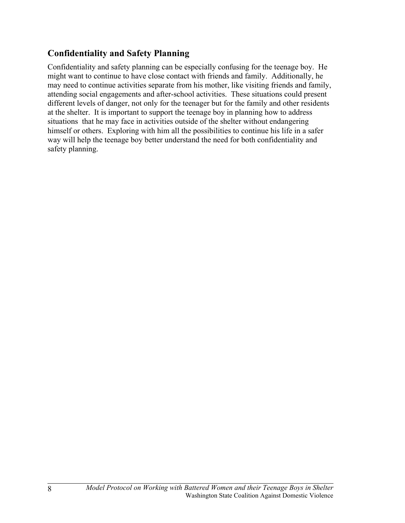### **Confidentiality and Safety Planning**

Confidentiality and safety planning can be especially confusing for the teenage boy. He might want to continue to have close contact with friends and family. Additionally, he may need to continue activities separate from his mother, like visiting friends and family, attending social engagements and after-school activities. These situations could present different levels of danger, not only for the teenager but for the family and other residents at the shelter. It is important to support the teenage boy in planning how to address situations that he may face in activities outside of the shelter without endangering himself or others. Exploring with him all the possibilities to continue his life in a safer way will help the teenage boy better understand the need for both confidentiality and safety planning.